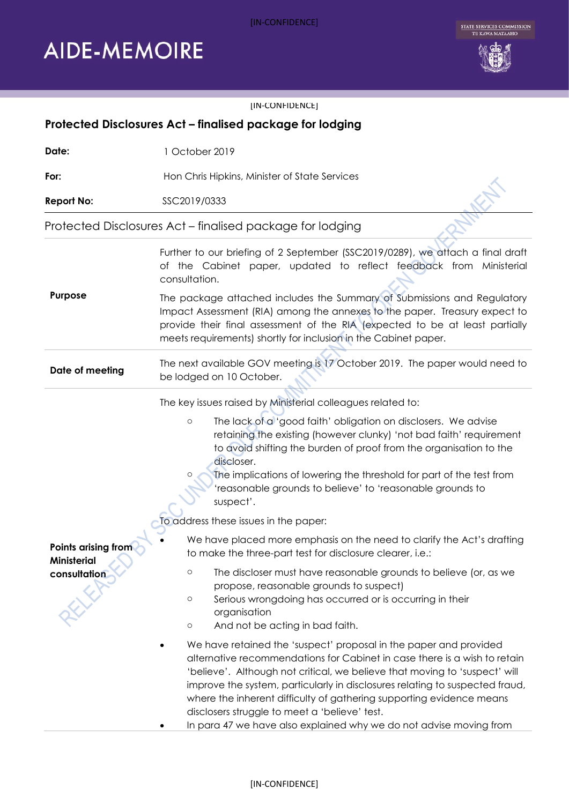## [IN-CONFIDENCE]

## **AIDE-MEMOIRE**





| [IN-CONFIDENCE]                                           |                                                                                                                                                                                                                                                                                                                                                                                                                                                                                                                                                                                                                                                                                                                                                                                                                                                                                                                                                                                                                                                                                                                                                                                                                                                                                                                                                    |
|-----------------------------------------------------------|----------------------------------------------------------------------------------------------------------------------------------------------------------------------------------------------------------------------------------------------------------------------------------------------------------------------------------------------------------------------------------------------------------------------------------------------------------------------------------------------------------------------------------------------------------------------------------------------------------------------------------------------------------------------------------------------------------------------------------------------------------------------------------------------------------------------------------------------------------------------------------------------------------------------------------------------------------------------------------------------------------------------------------------------------------------------------------------------------------------------------------------------------------------------------------------------------------------------------------------------------------------------------------------------------------------------------------------------------|
| Protected Disclosures Act - finalised package for lodging |                                                                                                                                                                                                                                                                                                                                                                                                                                                                                                                                                                                                                                                                                                                                                                                                                                                                                                                                                                                                                                                                                                                                                                                                                                                                                                                                                    |
| Date:                                                     | 1 October 2019                                                                                                                                                                                                                                                                                                                                                                                                                                                                                                                                                                                                                                                                                                                                                                                                                                                                                                                                                                                                                                                                                                                                                                                                                                                                                                                                     |
| For:                                                      | Hon Chris Hipkins, Minister of State Services                                                                                                                                                                                                                                                                                                                                                                                                                                                                                                                                                                                                                                                                                                                                                                                                                                                                                                                                                                                                                                                                                                                                                                                                                                                                                                      |
| <b>Report No:</b>                                         | SSC2019/0333                                                                                                                                                                                                                                                                                                                                                                                                                                                                                                                                                                                                                                                                                                                                                                                                                                                                                                                                                                                                                                                                                                                                                                                                                                                                                                                                       |
| Protected Disclosures Act - finalised package for lodging |                                                                                                                                                                                                                                                                                                                                                                                                                                                                                                                                                                                                                                                                                                                                                                                                                                                                                                                                                                                                                                                                                                                                                                                                                                                                                                                                                    |
| Purpose                                                   | Further to our briefing of 2 September (SSC2019/0289), we attach a final draft<br>of the Cabinet paper, updated to reflect feedback from Ministerial<br>consultation.                                                                                                                                                                                                                                                                                                                                                                                                                                                                                                                                                                                                                                                                                                                                                                                                                                                                                                                                                                                                                                                                                                                                                                              |
|                                                           | The package attached includes the Summary of Submissions and Regulatory<br>Impact Assessment (RIA) among the annexes to the paper. Treasury expect to<br>provide their final assessment of the RIA (expected to be at least partially<br>meets requirements) shortly for inclusion in the Cabinet paper.                                                                                                                                                                                                                                                                                                                                                                                                                                                                                                                                                                                                                                                                                                                                                                                                                                                                                                                                                                                                                                           |
| Date of meeting                                           | The next available GOV meeting is 17 October 2019. The paper would need to<br>be lodged on 10 October.                                                                                                                                                                                                                                                                                                                                                                                                                                                                                                                                                                                                                                                                                                                                                                                                                                                                                                                                                                                                                                                                                                                                                                                                                                             |
| Points arising from<br><b>Ministerial</b><br>consultation | The key issues raised by Ministerial colleagues related to:<br>The lack of a 'good faith' obligation on disclosers. We advise<br>$\circ$<br>retaining the existing (however clunky) 'not bad faith' requirement<br>to avoid shifting the burden of proof from the organisation to the<br>discloser.<br>The implications of lowering the threshold for part of the test from<br>O<br>'reasonable grounds to believe' to 'reasonable grounds to<br>suspect'.<br>To address these issues in the paper:<br>We have placed more emphasis on the need to clarify the Act's drafting<br>to make the three-part test for disclosure clearer, i.e.:<br>The discloser must have reasonable grounds to believe (or, as we<br>$\circ$<br>propose, reasonable grounds to suspect)<br>Serious wrongdoing has occurred or is occurring in their<br>$\circ$<br>organisation<br>And not be acting in bad faith.<br>$\circ$<br>We have retained the 'suspect' proposal in the paper and provided<br>alternative recommendations for Cabinet in case there is a wish to retain<br>'believe'. Although not critical, we believe that moving to 'suspect' will<br>improve the system, particularly in disclosures relating to suspected fraud,<br>where the inherent difficulty of gathering supporting evidence means<br>disclosers struggle to meet a 'believe' test. |